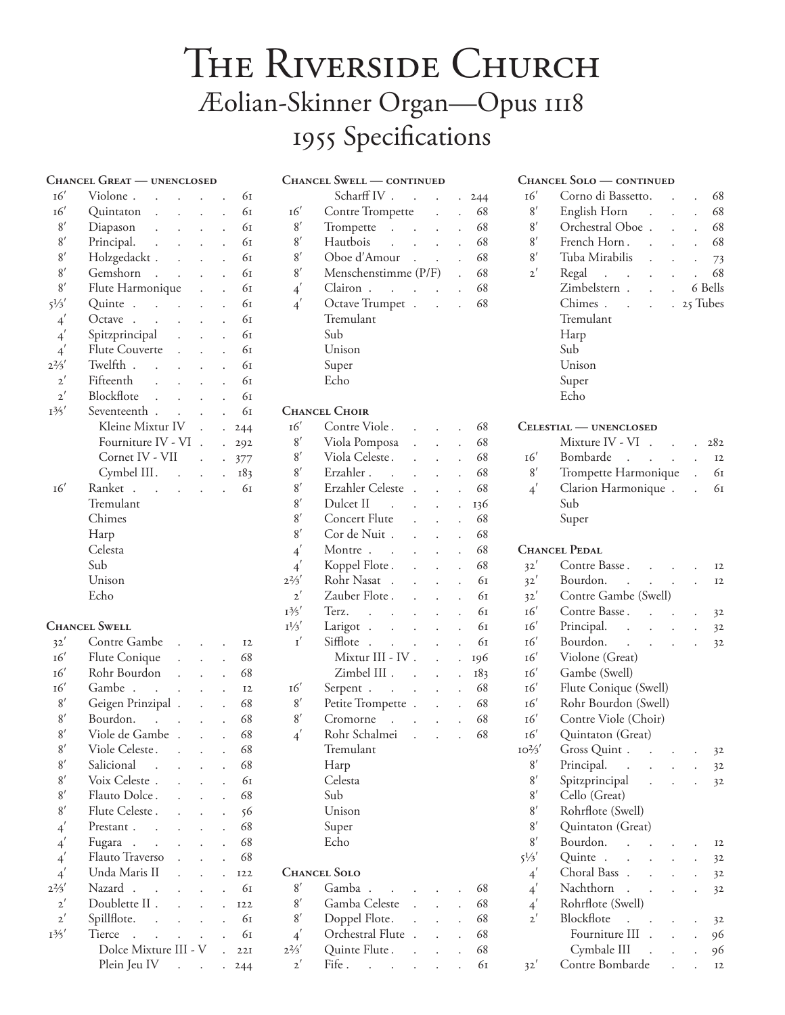## THE RIVERSIDE CHURCH Æolian-Skinner Organ-Opus 1118 1955 Specifications

|                            | <b>CHANCEL GREAT - UNENCLOSED</b>                          |                      |                      |                |
|----------------------------|------------------------------------------------------------|----------------------|----------------------|----------------|
| $16^{\prime}$              | Violone.                                                   |                      | $\ddot{\phantom{0}}$ | 61             |
| 16'                        | Quintaton<br>$\ddot{\phantom{0}}$<br>$\bullet$             |                      |                      | 61             |
| 8'                         | Diapason<br>$\Box$                                         |                      |                      | 61             |
| 8'                         | Principal.<br>$\ddot{\phantom{0}}$                         |                      |                      | 61             |
| 8'                         | Holzgedackt.<br>$\ddot{\phantom{0}}$                       |                      |                      | 61             |
| 8'                         | Gemshorn<br>$\sim$<br>$\ddot{\phantom{0}}$                 |                      |                      | 61             |
| 8'                         | Flute Harmonique                                           |                      |                      | 61             |
| $5^{1/3}$                  | Quinte.<br>$\sim$ 100 $\sim$ 100 $\sim$                    |                      |                      | 61             |
| $4^{'}$                    | $\ddot{\phantom{a}}$ .<br>Octave                           |                      |                      | 61             |
| $4^{'}$                    | Spitzprincipal<br>$\ddot{\phantom{0}}$                     |                      |                      | 61             |
| $4^{'}$                    | Flute Couverte<br>$\ddot{\phantom{0}}$                     |                      |                      | 61             |
| $2^{2}/3'$                 | Twelfth .                                                  |                      |                      | 61             |
| $2^{'}$                    | Fifteenth<br>$\ddot{\phantom{0}}$                          |                      |                      | 61             |
| $2^{'}$                    | Blockflote<br>$\ddot{\phantom{a}}$<br>$\ddot{\phantom{0}}$ |                      |                      | 61             |
| $1\frac{3}{5}$             | Seventeenth                                                |                      |                      | 61             |
|                            | Kleine Mixtur IV                                           |                      |                      | 244            |
|                            | Fourniture IV - VI                                         | $\ddot{\phantom{0}}$ | $\ddot{\phantom{0}}$ | 292            |
|                            | Cornet IV - VII                                            |                      |                      | 377            |
|                            | Cymbel III.                                                |                      |                      | 183            |
| 16'                        | Ranket .                                                   |                      |                      | 61             |
|                            | Tremulant                                                  |                      |                      |                |
|                            | Chimes                                                     |                      |                      |                |
|                            | Harp                                                       |                      |                      |                |
|                            | Celesta                                                    |                      |                      |                |
|                            | Sub                                                        |                      |                      |                |
|                            | Unison                                                     |                      |                      |                |
|                            | Echo                                                       |                      |                      |                |
|                            |                                                            |                      |                      |                |
|                            | <b>CHANCEL SWELL</b>                                       |                      |                      |                |
| 32'                        | Contre Gambe                                               |                      |                      | I <sub>2</sub> |
| 16'                        | Flute Conique                                              |                      |                      | 68             |
| 16'                        | Rohr Bourdon                                               |                      |                      | 68             |
| 16'                        | Gambe.                                                     |                      |                      | <b>I2</b>      |
| 8'                         | Geigen Prinzipal.                                          |                      |                      | 68             |
| 8'                         | Bourdon.                                                   |                      |                      | 68             |
| 8'                         | Viole de Gambe                                             |                      |                      | 68             |
| 8'                         | Viole Celeste.                                             |                      |                      | 68             |
| 8'                         | Salicional                                                 |                      |                      | 68             |
| 8'                         | Voix Celeste.                                              |                      |                      | 61             |
| 8'                         | Flauto Dolce.                                              |                      |                      | 68             |
| 8'                         | Flute Celeste.                                             |                      |                      | 56             |
| $\overline{4}'$            | Prestant.                                                  |                      |                      | 68             |
|                            |                                                            |                      |                      | 68             |
| $\overline{4}'$<br>$4^{'}$ | Fugara.<br>Flauto Traverso                                 |                      |                      | 68             |
|                            | Unda Maris II                                              |                      |                      |                |
| $4^{'}$<br>$2^{2}/3'$      | Nazard.                                                    |                      |                      | <b>I22</b>     |
| $2^{'}$                    | Doublette II.                                              |                      |                      | 61             |
| $2^{'}$                    |                                                            |                      |                      | 122            |
|                            | Spillflote.<br>Tierce                                      |                      |                      | 61             |
| $1\frac{3}{5}$             | Dolce Mixture III - V                                      |                      |                      | 61<br>22I      |
|                            |                                                            |                      |                      |                |

Plein Jeu IV . . . 244

|                     | <b>CHANCEL SWELL - CONTINUED</b>       |                      |     |
|---------------------|----------------------------------------|----------------------|-----|
|                     | Scharff IV.                            |                      | 244 |
| 16'                 | Contre Trompette                       |                      | 68  |
| 8'                  | Trompette<br>$\sim 10^{-1}$ km $^{-1}$ | $\ddot{\phantom{0}}$ | 68  |
| 8'                  | Hautbois                               | $\ddot{\phantom{0}}$ | 68  |
| 8'                  | Oboe d'Amour                           |                      | 68  |
| 8'                  | Menschenstimme (P/F)                   |                      | 68  |
| $4^{'}$             | Clairon.<br>$\ddot{\phantom{0}}$       | $\ddot{\phantom{0}}$ | 68  |
| $\overline{4}'$     | Octave Trumpet .                       |                      | 68  |
|                     | Tremulant                              |                      |     |
|                     | Sub                                    |                      |     |
|                     | Unison                                 |                      |     |
|                     | Super                                  |                      |     |
|                     | Echo                                   |                      |     |
|                     |                                        |                      |     |
|                     | <b>CHANCEL CHOIR</b>                   |                      |     |
| 16'                 | Contre Viole.                          |                      | 68  |
| 8'                  | Viola Pomposa                          |                      | 68  |
| 8'                  | Viola Celeste.                         |                      | 68  |
| 8'                  | Erzahler.                              |                      | 68  |
| 8'                  | Erzahler Celeste                       |                      | 68  |
| 8'                  | Dulcet II                              |                      |     |
|                     | Concert Flute                          |                      | 136 |
| 8'                  |                                        |                      | 68  |
| 8'                  | Cor de Nuit.                           |                      | 68  |
| $\frac{1}{4}$       | Montre.                                |                      | 68  |
| $4^{'}$             | Koppel Flote.                          |                      | 68  |
| $2^{2}/3'$          | Rohr Nasat.                            |                      | 61  |
| $2^{'}$             | Zauber Flote.                          |                      | 61  |
| $1\frac{3}{5}$      | Terz.                                  |                      | 61  |
| $I^{1/3'}$          | Larigot                                |                      | 61  |
| $\textbf{I}^\prime$ | Sifflote                               |                      | 61  |
|                     | Mixtur III - IV                        |                      | 196 |
|                     | Zimbel III.                            |                      | 183 |
| 16'                 | Serpent.                               |                      | 68  |
| 8′                  | Petite Trompette.                      |                      | 68  |
| 8′                  | Cromorne                               |                      | 68  |
| $4^{'}$             | Rohr Schalmei                          |                      | 68  |
|                     | Tremulant                              |                      |     |
|                     | Harp                                   |                      |     |
|                     | Celesta                                |                      |     |
|                     | Sub                                    |                      |     |
|                     | Unison                                 |                      |     |
|                     | Super                                  |                      |     |
|                     | Echo                                   |                      |     |
|                     |                                        |                      |     |
| <b>CHANCEL SOLO</b> |                                        |                      |     |
| 8'                  | Gamba                                  |                      | 68  |
| 8'                  | Gamba Celeste                          |                      | 68  |
| 8'                  | Doppel Flote.                          |                      | 68  |
| $4^{'}$             | Orchestral Flute                       |                      | 68  |
| $2^{2}/3'$          | Quinte Flute.                          |                      | 68  |
| $2^{'}$             | Fife.                                  |                      | 61  |
|                     |                                        |                      |     |

## **CHANCEL SOLO — CONTINUED**

| 16'               | Corno di Bassetto.             |        |           |                      | 68             |
|-------------------|--------------------------------|--------|-----------|----------------------|----------------|
| 8'                | English Horn                   |        |           |                      | 68             |
| 8'                | Orchestral Oboe                |        |           |                      | 68             |
| 8'                | French Horn.                   |        |           |                      | 68             |
| 8'                | Tuba Mirabilis                 |        |           |                      | 73             |
| $2^{'}$           | Regal .                        |        |           |                      | 68             |
|                   | Zimbelstern.                   |        |           |                      | 6 Bells        |
|                   | Chimes                         |        |           | . 25 Tubes           |                |
|                   | Tremulant                      |        |           |                      |                |
|                   | Harp                           |        |           |                      |                |
|                   | Sub                            |        |           |                      |                |
|                   | Unison                         |        |           |                      |                |
|                   | Super                          |        |           |                      |                |
|                   | Echo                           |        |           |                      |                |
|                   |                                |        |           |                      |                |
|                   | <b>CELESTIAL — UNENCLOSED</b>  |        |           |                      |                |
|                   | Mixture IV - VI                | $\sim$ |           |                      | 282            |
| 16'               | Bombarde.                      |        |           |                      | <b>I2</b>      |
| 8'                | Trompette Harmonique           |        |           |                      | 61             |
| $4^{'}$           | Clarion Harmonique.            |        |           | $\ddot{\phantom{a}}$ | 61             |
|                   | Sub                            |        |           |                      |                |
|                   | Super                          |        |           |                      |                |
|                   |                                |        |           |                      |                |
|                   | <b>CHANCEL PEDAL</b>           |        |           |                      |                |
| 32'               | Contre Basse.                  |        |           |                      | <b>I2</b>      |
| 32'               | Bourdon.                       |        |           |                      | <b>I2</b>      |
| 32'               | Contre Gambe (Swell)           |        |           |                      |                |
| 16'               | Contre Basse.                  |        |           |                      | 32             |
| 16'               | Principal.<br>$\sim$           |        |           |                      | 32             |
| 16'               | Bourdon.                       |        |           |                      | 32             |
| 16'               | Violone (Great)                |        |           |                      |                |
| 16'               | Gambe (Swell)                  |        |           |                      |                |
| 16'               | Flute Conique (Swell)          |        |           |                      |                |
| 16'               | Rohr Bourdon (Swell)           |        |           |                      |                |
| 16'               | Contre Viole (Choir)           |        |           |                      |                |
|                   |                                |        |           |                      |                |
| 16'               | Quintaton (Great)              |        |           |                      |                |
| $10^{2/3}$        | Gross Quint                    |        | $\bullet$ |                      | 32             |
| 8'                | Principal.                     |        |           |                      | 32             |
| 8'                | Spitzprincipal                 |        |           |                      | 32             |
| 8'                | Cello (Great)                  |        |           |                      |                |
| 8'                | Rohrflote (Swell)              |        |           |                      |                |
| 8'                | Quintaton (Great)              |        |           |                      |                |
| 8'                | Bourdon.                       |        |           |                      | 12             |
| $5\frac{1}{3}$    | Quinte<br>$\ddot{\phantom{a}}$ |        |           |                      | 32             |
| $\boldsymbol{4}'$ | Choral Bass                    |        |           |                      | 32             |
| $4^{'}$           | Nachthorn                      |        |           |                      | 32             |
| $4^{'}$           | Rohrflote (Swell)              |        |           |                      |                |
| $2^{'}$           | Blockflote                     |        |           |                      | 32             |
|                   | Fourniture III                 |        |           |                      | 96             |
|                   | Cymbale III                    |        |           |                      | 96             |
| 32'               | Contre Bombarde                |        |           |                      | I <sub>2</sub> |